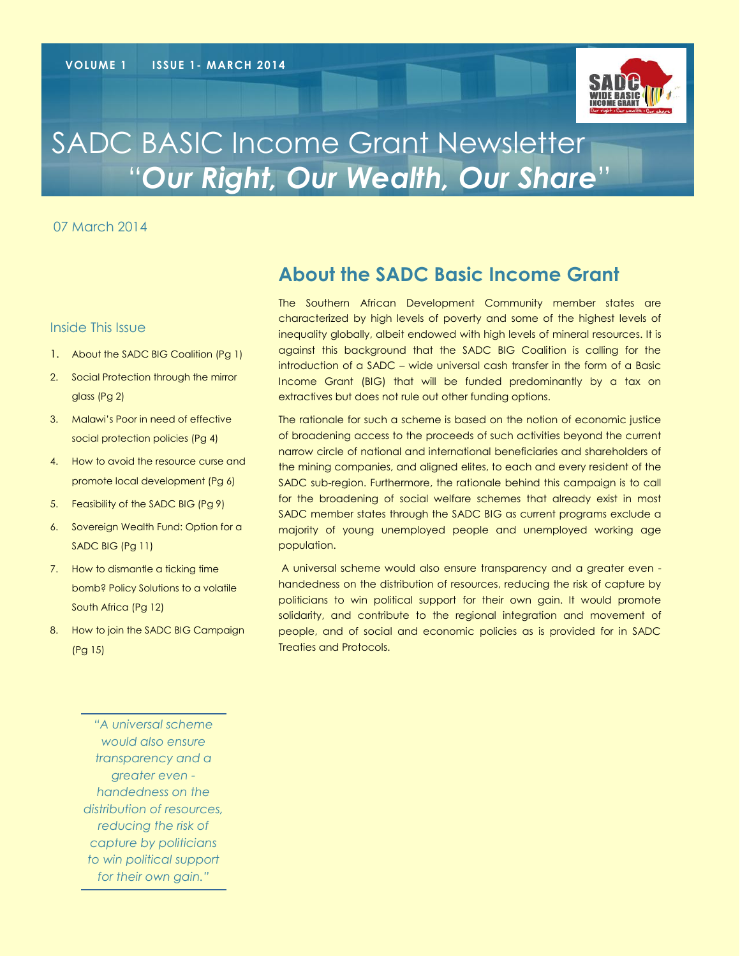

# SADC BASIC Income Grant Newsletter "*Our Right, Our Wealth, Our Share*"

07 March 2014

#### Inside This Issue

- 1. About the SADC BIG Coalition (Pg 1)
- 2. Social Protection through the mirror glass (Pg 2)
- 3. Malawi's Poor in need of effective social protection policies (Pg 4)
- 4. How to avoid the resource curse and promote local development (Pg 6)
- 5. Feasibility of the SADC BIG (Pg 9)
- 6. Sovereign Wealth Fund: Option for a SADC BIG (Pg 11)
- 7. How to dismantle a ticking time bomb? Policy Solutions to a volatile South Africa (Pg 12)
- 8. How to join the SADC BIG Campaign (Pg 15)

**About the SADC Basic Income Grant** 

The Southern African Development Community member states are characterized by high levels of poverty and some of the highest levels of inequality globally, albeit endowed with high levels of mineral resources. It is against this background that the SADC BIG Coalition is calling for the introduction of a SADC – wide universal cash transfer in the form of a Basic Income Grant (BIG) that will be funded predominantly by a tax on extractives but does not rule out other funding options.

The rationale for such a scheme is based on the notion of economic justice of broadening access to the proceeds of such activities beyond the current narrow circle of national and international beneficiaries and shareholders of the mining companies, and aligned elites, to each and every resident of the SADC sub-region. Furthermore, the rationale behind this campaign is to call for the broadening of social welfare schemes that already exist in most SADC member states through the SADC BIG as current programs exclude a majority of young unemployed people and unemployed working age population.

A universal scheme would also ensure transparency and a greater even handedness on the distribution of resources, reducing the risk of capture by politicians to win political support for their own gain. It would promote solidarity, and contribute to the regional integration and movement of people, and of social and economic policies as is provided for in SADC Treaties and Protocols.

*"A universal scheme would also ensure transparency and a greater even handedness on the distribution of resources, reducing the risk of capture by politicians to win political support for their own gain."*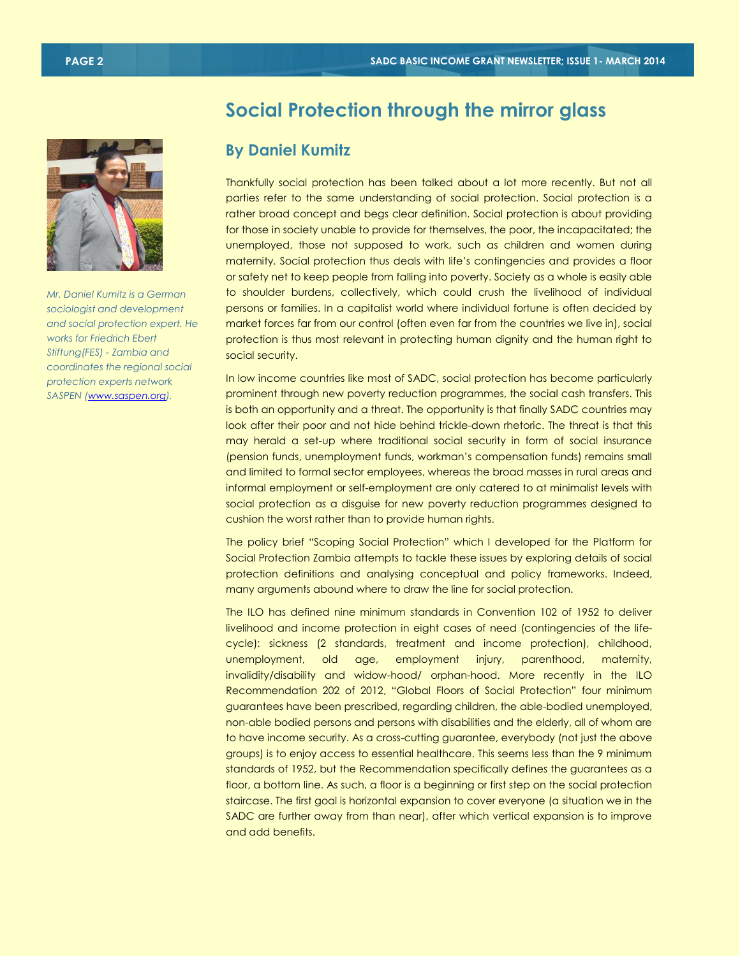

*Mr. Daniel Kumitz is a German sociologist and development and social protection expert. He works for Friedrich Ebert Stiftung(FES) - Zambia and coordinates the regional social protection experts network SASPEN [\(www.saspen.org\)](http://www.saspen.org/).*

### **Social Protection through the mirror glass**

#### **By Daniel Kumitz**

Thankfully social protection has been talked about a lot more recently. But not all parties refer to the same understanding of social protection. Social protection is a rather broad concept and begs clear definition. Social protection is about providing for those in society unable to provide for themselves, the poor, the incapacitated; the unemployed, those not supposed to work, such as children and women during maternity. Social protection thus deals with life's contingencies and provides a floor or safety net to keep people from falling into poverty. Society as a whole is easily able to shoulder burdens, collectively, which could crush the livelihood of individual persons or families. In a capitalist world where individual fortune is often decided by market forces far from our control (often even far from the countries we live in), social protection is thus most relevant in protecting human dignity and the human right to social security.

In low income countries like most of SADC, social protection has become particularly prominent through new poverty reduction programmes, the social cash transfers. This is both an opportunity and a threat. The opportunity is that finally SADC countries may look after their poor and not hide behind trickle-down rhetoric. The threat is that this may herald a set-up where traditional social security in form of social insurance (pension funds, unemployment funds, workman's compensation funds) remains small and limited to formal sector employees, whereas the broad masses in rural areas and informal employment or self-employment are only catered to at minimalist levels with social protection as a disguise for new poverty reduction programmes designed to cushion the worst rather than to provide human rights.

The policy brief "Scoping Social Protection" which I developed for the Platform for Social Protection Zambia attempts to tackle these issues by exploring details of social protection definitions and analysing conceptual and policy frameworks. Indeed, many arguments abound where to draw the line for social protection.

The ILO has defined nine minimum standards in Convention 102 of 1952 to deliver livelihood and income protection in eight cases of need (contingencies of the lifecycle): sickness (2 standards, treatment and income protection), childhood, unemployment, old age, employment injury, parenthood, maternity, invalidity/disability and widow-hood/ orphan-hood. More recently in the ILO Recommendation 202 of 2012, "Global Floors of Social Protection" four minimum guarantees have been prescribed, regarding children, the able-bodied unemployed, non-able bodied persons and persons with disabilities and the elderly, all of whom are to have income security. As a cross-cutting guarantee, everybody (not just the above groups) is to enjoy access to essential healthcare. This seems less than the 9 minimum standards of 1952, but the Recommendation specifically defines the guarantees as a floor, a bottom line. As such, a floor is a beginning or first step on the social protection staircase. The first goal is horizontal expansion to cover everyone (a situation we in the SADC are further away from than near), after which vertical expansion is to improve and add benefits.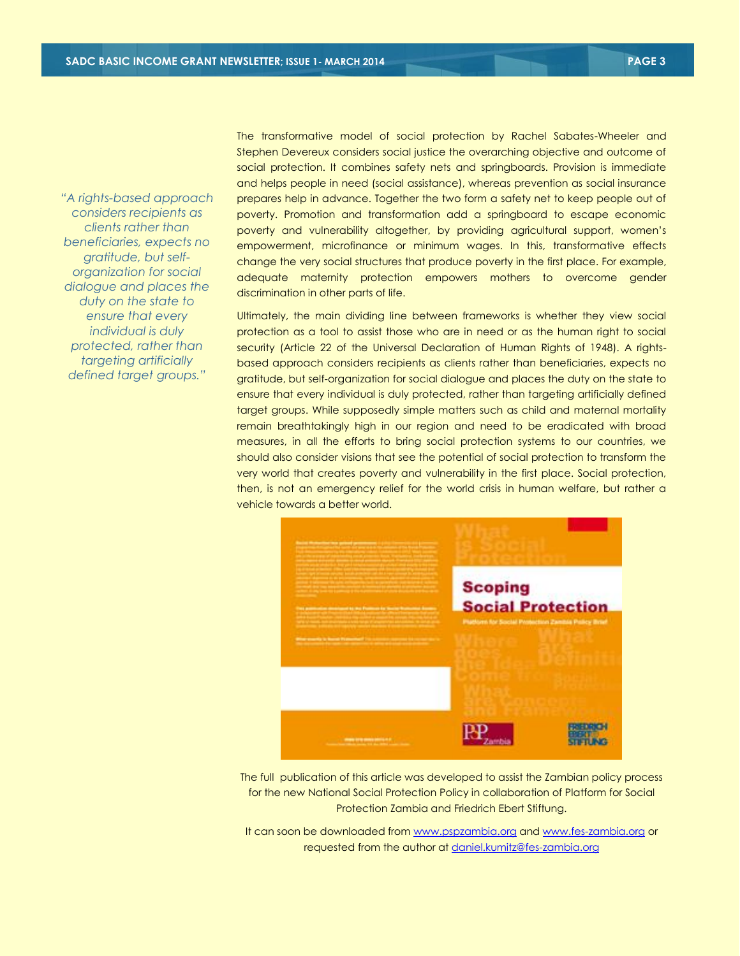*"A rights-based approach considers recipients as clients rather than beneficiaries, expects no gratitude, but selforganization for social dialogue and places the duty on the state to ensure that every individual is duly protected, rather than targeting artificially defined target groups."*

The transformative model of social protection by Rachel Sabates-Wheeler and Stephen Devereux considers social justice the overarching objective and outcome of social protection. It combines safety nets and springboards. Provision is immediate and helps people in need (social assistance), whereas prevention as social insurance prepares help in advance. Together the two form a safety net to keep people out of poverty. Promotion and transformation add a springboard to escape economic poverty and vulnerability altogether, by providing agricultural support, women's empowerment, microfinance or minimum wages. In this, transformative effects change the very social structures that produce poverty in the first place. For example, adequate maternity protection empowers mothers to overcome gender discrimination in other parts of life.

Ultimately, the main dividing line between frameworks is whether they view social protection as a tool to assist those who are in need or as the human right to social security (Article 22 of the Universal Declaration of Human Rights of 1948). A rightsbased approach considers recipients as clients rather than beneficiaries, expects no gratitude, but self-organization for social dialogue and places the duty on the state to ensure that every individual is duly protected, rather than targeting artificially defined target groups. While supposedly simple matters such as child and maternal mortality remain breathtakingly high in our region and need to be eradicated with broad measures, in all the efforts to bring social protection systems to our countries, we should also consider visions that see the potential of social protection to transform the very world that creates poverty and vulnerability in the first place. Social protection, then, is not an emergency relief for the world crisis in human welfare, but rather a vehicle towards a better world.



The full publication of this article was developed to assist the Zambian policy process for the new National Social Protection Policy in collaboration of Platform for Social Protection Zambia and Friedrich Ebert Stiftung.

It can soon be downloaded from [www.pspzambia.org](http://www.pspzambia.org/) and [www.fes-zambia.org](http://www.fes-zambia.org/) or requested from the author a[t daniel.kumitz@fes-zambia.org](mailto:daniel.kumitz@fes-zambia.org)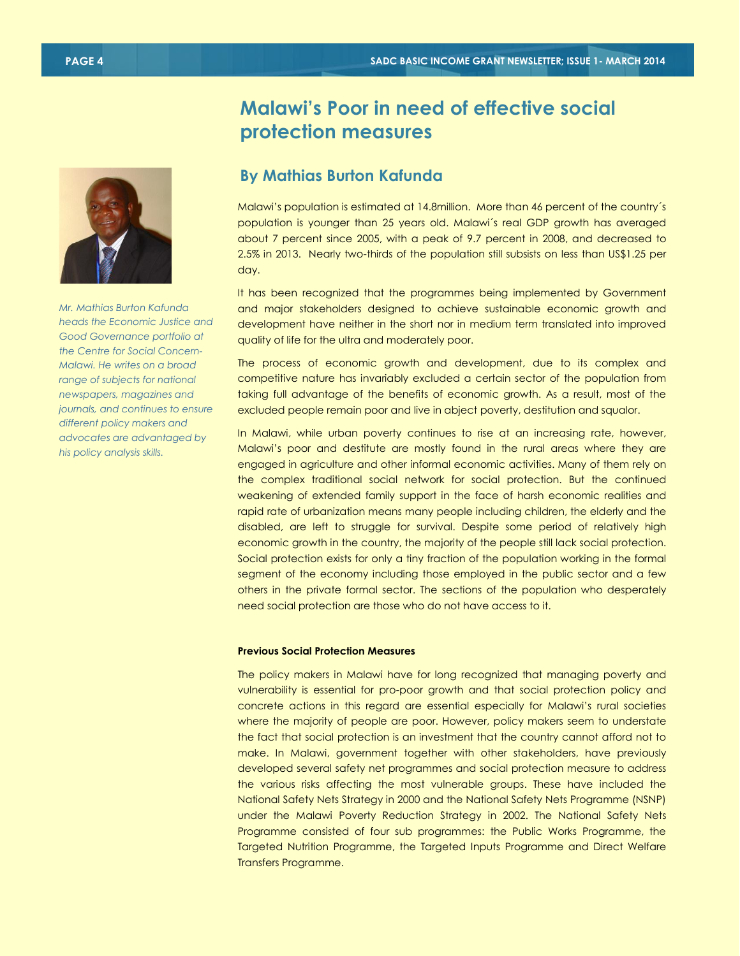

*Mr. Mathias Burton Kafunda heads the Economic Justice and Good Governance portfolio at the Centre for Social Concern-Malawi. He writes on a broad range of subjects for national newspapers, magazines and journals, and continues to ensure different policy makers and advocates are advantaged by his policy analysis skills.*

## **Malawi's Poor in need of effective social protection measures**

### **By Mathias Burton Kafunda**

Malawi's population is estimated at 14.8million. More than 46 percent of the country´s population is younger than 25 years old. Malawi´s real GDP growth has averaged about 7 percent since 2005, with a peak of 9.7 percent in 2008, and decreased to 2.5% in 2013. Nearly two-thirds of the population still subsists on less than US\$1.25 per day.

It has been recognized that the programmes being implemented by Government and major stakeholders designed to achieve sustainable economic growth and development have neither in the short nor in medium term translated into improved quality of life for the ultra and moderately poor.

The process of economic growth and development, due to its complex and competitive nature has invariably excluded a certain sector of the population from taking full advantage of the benefits of economic growth. As a result, most of the excluded people remain poor and live in abject poverty, destitution and squalor.

In Malawi, while urban poverty continues to rise at an increasing rate, however, Malawi's poor and destitute are mostly found in the rural areas where they are engaged in agriculture and other informal economic activities. Many of them rely on the complex traditional social network for social protection. But the continued weakening of extended family support in the face of harsh economic realities and rapid rate of urbanization means many people including children, the elderly and the disabled, are left to struggle for survival. Despite some period of relatively high economic growth in the country, the majority of the people still lack social protection. Social protection exists for only a tiny fraction of the population working in the formal segment of the economy including those employed in the public sector and a few others in the private formal sector. The sections of the population who desperately need social protection are those who do not have access to it.

#### **Previous Social Protection Measures**

The policy makers in Malawi have for long recognized that managing poverty and vulnerability is essential for pro-poor growth and that social protection policy and concrete actions in this regard are essential especially for Malawi's rural societies where the majority of people are poor. However, policy makers seem to understate the fact that social protection is an investment that the country cannot afford not to make. In Malawi, government together with other stakeholders, have previously developed several safety net programmes and social protection measure to address the various risks affecting the most vulnerable groups. These have included the National Safety Nets Strategy in 2000 and the National Safety Nets Programme (NSNP) under the Malawi Poverty Reduction Strategy in 2002. The National Safety Nets Programme consisted of four sub programmes: the Public Works Programme, the Targeted Nutrition Programme, the Targeted Inputs Programme and Direct Welfare Transfers Programme.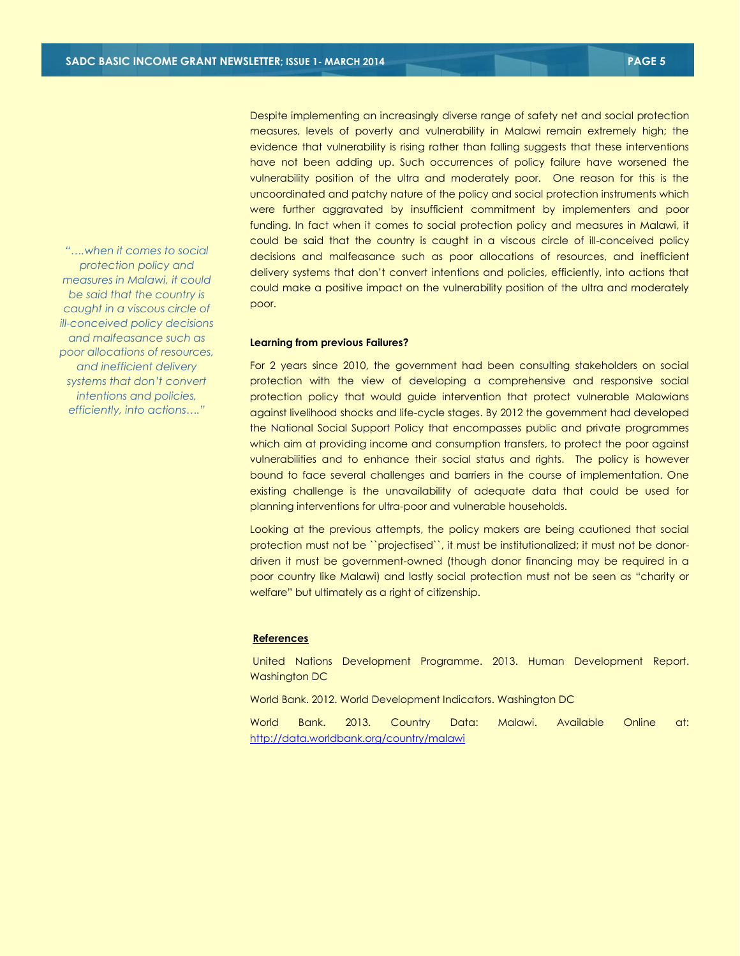*"….when it comes to social protection policy and measures in Malawi, it could be said that the country is caught in a viscous circle of ill-conceived policy decisions and malfeasance such as poor allocations of resources, and inefficient delivery systems that don't convert intentions and policies, efficiently, into actions…."*

Despite implementing an increasingly diverse range of safety net and social protection measures, levels of poverty and vulnerability in Malawi remain extremely high; the evidence that vulnerability is rising rather than falling suggests that these interventions have not been adding up. Such occurrences of policy failure have worsened the vulnerability position of the ultra and moderately poor. One reason for this is the uncoordinated and patchy nature of the policy and social protection instruments which were further aggravated by insufficient commitment by implementers and poor funding. In fact when it comes to social protection policy and measures in Malawi, it could be said that the country is caught in a viscous circle of ill-conceived policy decisions and malfeasance such as poor allocations of resources, and inefficient delivery systems that don't convert intentions and policies, efficiently, into actions that could make a positive impact on the vulnerability position of the ultra and moderately poor.

#### **Learning from previous Failures?**

For 2 years since 2010, the government had been consulting stakeholders on social protection with the view of developing a comprehensive and responsive social protection policy that would guide intervention that protect vulnerable Malawians against livelihood shocks and life-cycle stages. By 2012 the government had developed the National Social Support Policy that encompasses public and private programmes which aim at providing income and consumption transfers, to protect the poor against vulnerabilities and to enhance their social status and rights. The policy is however bound to face several challenges and barriers in the course of implementation. One existing challenge is the unavailability of adequate data that could be used for planning interventions for ultra-poor and vulnerable households.

Looking at the previous attempts, the policy makers are being cautioned that social protection must not be ``projectised``, it must be institutionalized; it must not be donordriven it must be government-owned (though donor financing may be required in a poor country like Malawi) and lastly social protection must not be seen as "charity or welfare" but ultimately as a right of citizenship.

#### **References**

United Nations Development Programme. 2013. Human Development Report. Washington DC

World Bank. 2012. World Development Indicators. Washington DC

World Bank. 2013. Country Data: Malawi. Available Online at: <http://data.worldbank.org/country/malawi>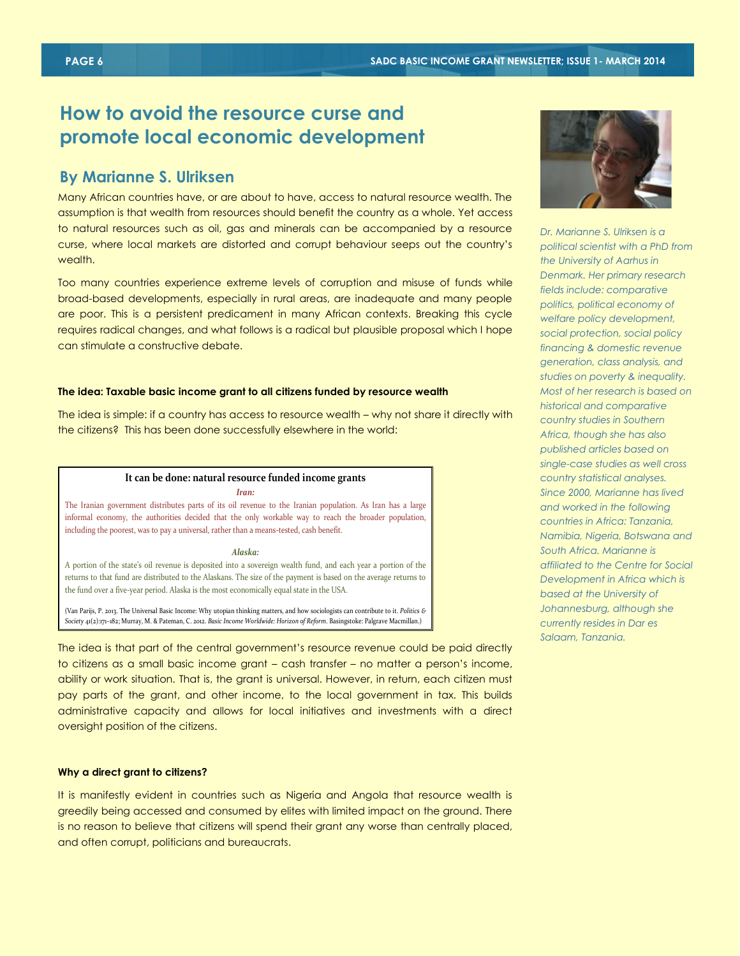### **How to avoid the resource curse and promote local economic development**

#### **By Marianne S. Ulriksen**

Many African countries have, or are about to have, access to natural resource wealth. The assumption is that wealth from resources should benefit the country as a whole. Yet access to natural resources such as oil, gas and minerals can be accompanied by a resource curse, where local markets are distorted and corrupt behaviour seeps out the country's wealth.

Too many countries experience extreme levels of corruption and misuse of funds while broad-based developments, especially in rural areas, are inadequate and many people are poor. This is a persistent predicament in many African contexts. Breaking this cycle requires radical changes, and what follows is a radical but plausible proposal which I hope can stimulate a constructive debate.

#### **The idea: Taxable basic income grant to all citizens funded by resource wealth**

The idea is simple: if a country has access to resource wealth – why not share it directly with the citizens? This has been done successfully elsewhere in the world:

#### **It can be done: natural resource funded income grants**

*Iran:*

The Iranian government distributes parts of its oil revenue to the Iranian population. As Iran has a large informal economy, the authorities decided that the only workable way to reach the broader population, including the poorest, was to pay a universal, rather than a means-tested, cash benefit.

#### *Alaska:*

A portion of the state's oil revenue is deposited into a sovereign wealth fund, and each year a portion of the returns to that fund are distributed to the Alaskans. The size of the payment is based on the average returns to the fund over a five-year period. Alaska is the most economically equal state in the USA.

(Van Parijs, P. 2013. The Universal Basic Income: Why utopian thinking matters, and how sociologists can contribute to it. *Politics & Society* 41(2):171–182; Murray, M. & Pateman, C. 2012. *Basic Income Worldwide: Horizon of Reform*. Basingstoke: Palgrave Macmillan.)

The idea is that part of the central government's resource revenue could be paid directly to citizens as a small basic income grant – cash transfer – no matter a person's income, ability or work situation. That is, the grant is universal. However, in return, each citizen must pay parts of the grant, and other income, to the local government in tax. This builds administrative capacity and allows for local initiatives and investments with a direct oversight position of the citizens.

#### **Why a direct grant to citizens?**

It is manifestly evident in countries such as Nigeria and Angola that resource wealth is greedily being accessed and consumed by elites with limited impact on the ground. There is no reason to believe that citizens will spend their grant any worse than centrally placed, and often corrupt, politicians and bureaucrats.



*Dr. Marianne S. Ulriksen is a political scientist with a PhD from the University of Aarhus in Denmark. Her primary research fields include: comparative politics, political economy of welfare policy development, social protection, social policy financing & domestic revenue generation, class analysis, and studies on poverty & inequality. Most of her research is based on historical and comparative country studies in Southern Africa, though she has also published articles based on single-case studies as well cross country statistical analyses. Since 2000, Marianne has lived and worked in the following countries in Africa: Tanzania, Namibia, Nigeria, Botswana and South Africa. Marianne is affiliated to the Centre for Social Development in Africa which is based at the University of Johannesburg, although she currently resides in Dar es Salaam, Tanzania.*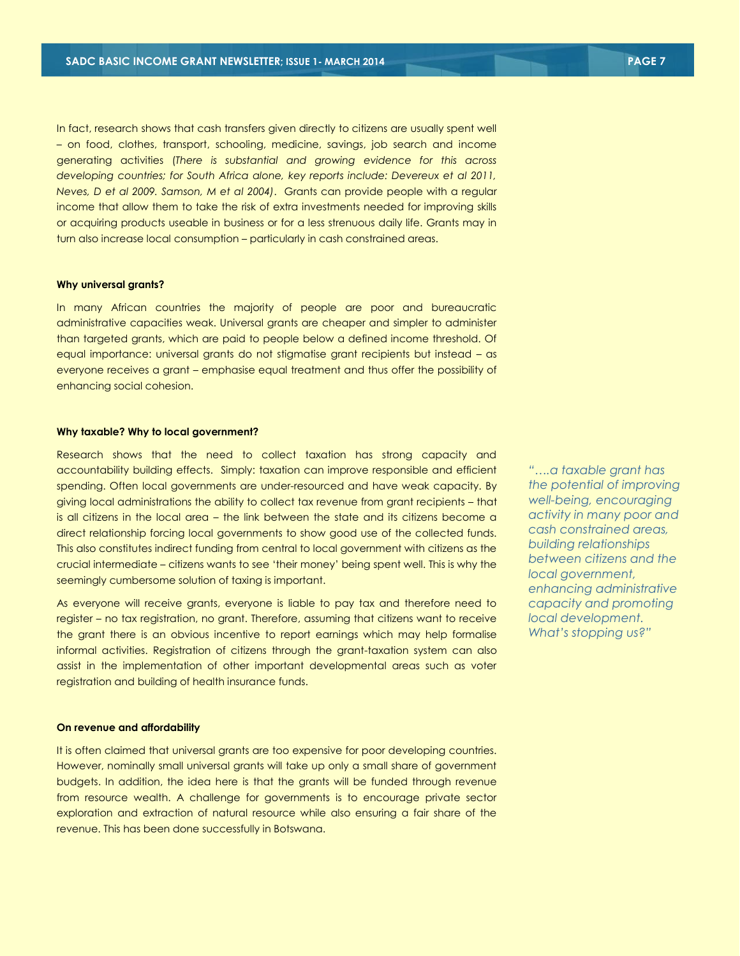In fact, research shows that cash transfers given directly to citizens are usually spent well – on food, clothes, transport, schooling, medicine, savings, job search and income generating activities (*There is substantial and growing evidence for this across developing countries; for South Africa alone, key reports include: Devereux et al 2011, Neves, D et al 2009. Samson, M et al 2004)*. Grants can provide people with a regular income that allow them to take the risk of extra investments needed for improving skills or acquiring products useable in business or for a less strenuous daily life. Grants may in turn also increase local consumption – particularly in cash constrained areas.

#### **Why universal grants?**

In many African countries the majority of people are poor and bureaucratic administrative capacities weak. Universal grants are cheaper and simpler to administer than targeted grants, which are paid to people below a defined income threshold. Of equal importance: universal grants do not stigmatise grant recipients but instead – as everyone receives a grant – emphasise equal treatment and thus offer the possibility of enhancing social cohesion.

#### **Why taxable? Why to local government?**

Research shows that the need to collect taxation has strong capacity and accountability building effects. Simply: taxation can improve responsible and efficient spending. Often local governments are under-resourced and have weak capacity. By giving local administrations the ability to collect tax revenue from grant recipients – that is all citizens in the local area – the link between the state and its citizens become a direct relationship forcing local governments to show good use of the collected funds. This also constitutes indirect funding from central to local government with citizens as the crucial intermediate – citizens wants to see 'their money' being spent well. This is why the seemingly cumbersome solution of taxing is important.

As everyone will receive grants, everyone is liable to pay tax and therefore need to register – no tax registration, no grant. Therefore, assuming that citizens want to receive the grant there is an obvious incentive to report earnings which may help formalise informal activities. Registration of citizens through the grant-taxation system can also assist in the implementation of other important developmental areas such as voter registration and building of health insurance funds.

#### **On revenue and affordability**

It is often claimed that universal grants are too expensive for poor developing countries. However, nominally small universal grants will take up only a small share of government budgets. In addition, the idea here is that the grants will be funded through revenue from resource wealth. A challenge for governments is to encourage private sector exploration and extraction of natural resource while also ensuring a fair share of the revenue. This has been done successfully in Botswana.

*"….a taxable grant has the potential of improving well-being, encouraging activity in many poor and cash constrained areas, building relationships between citizens and the local government, enhancing administrative capacity and promoting local development. What's stopping us?"*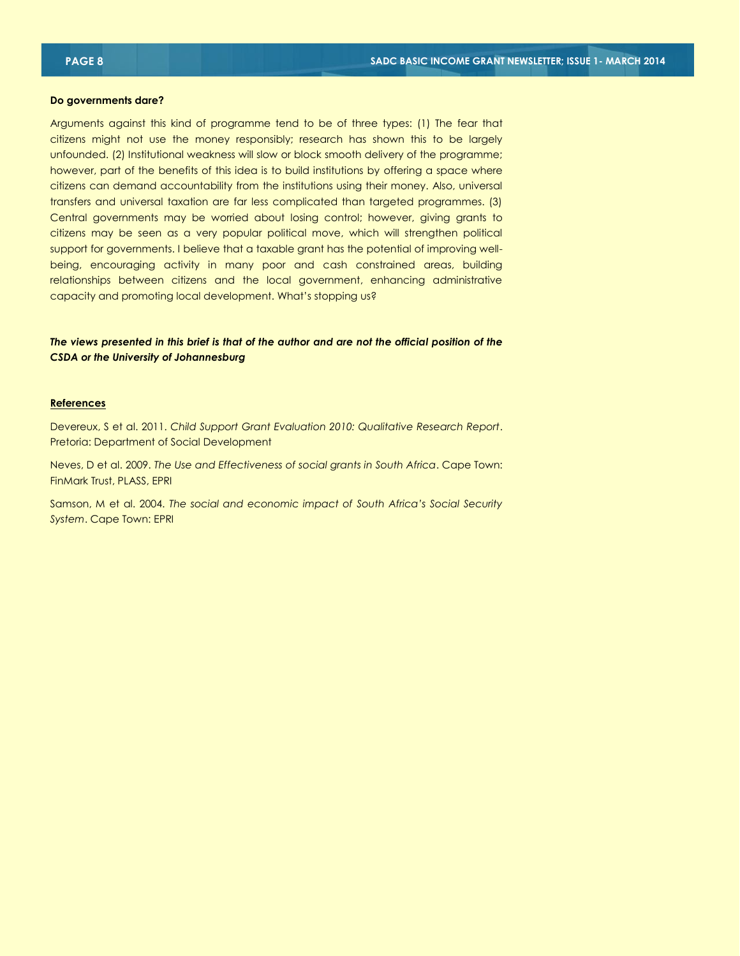**Do governments dare?**

Arguments against this kind of programme tend to be of three types: (1) The fear that citizens might not use the money responsibly; research has shown this to be largely unfounded. (2) Institutional weakness will slow or block smooth delivery of the programme; however, part of the benefits of this idea is to build institutions by offering a space where citizens can demand accountability from the institutions using their money. Also, universal transfers and universal taxation are far less complicated than targeted programmes. (3) Central governments may be worried about losing control; however, giving grants to citizens may be seen as a very popular political move, which will strengthen political support for governments. I believe that a taxable grant has the potential of improving wellbeing, encouraging activity in many poor and cash constrained areas, building relationships between citizens and the local government, enhancing administrative capacity and promoting local development. What's stopping us?

*The views presented in this brief is that of the author and are not the official position of the CSDA or the University of Johannesburg*

#### **References**

Devereux, S et al. 2011. *Child Support Grant Evaluation 2010: Qualitative Research Report*. Pretoria: Department of Social Development

Neves, D et al. 2009. *The Use and Effectiveness of social grants in South Africa*. Cape Town: FinMark Trust, PLASS, EPRI

Samson, M et al. 2004. *The social and economic impact of South Africa's Social Security System*. Cape Town: EPRI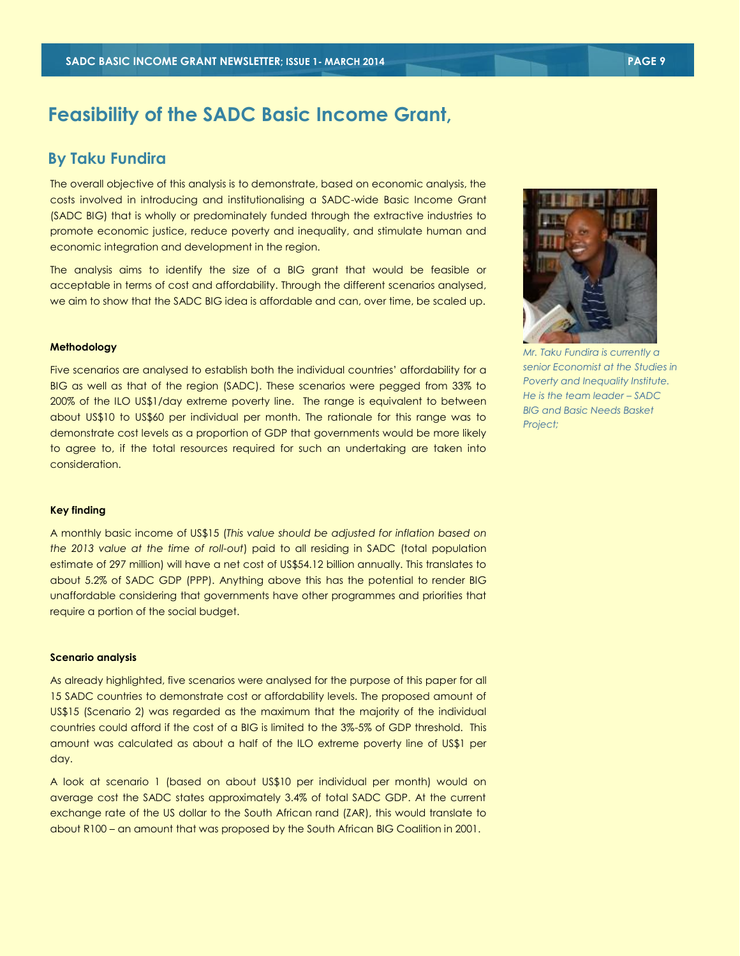### **Feasibility of the SADC Basic Income Grant,**

#### **By Taku Fundira**

The overall objective of this analysis is to demonstrate, based on economic analysis, the costs involved in introducing and institutionalising a SADC-wide Basic Income Grant (SADC BIG) that is wholly or predominately funded through the extractive industries to promote economic justice, reduce poverty and inequality, and stimulate human and economic integration and development in the region.

The analysis aims to identify the size of a BIG grant that would be feasible or acceptable in terms of cost and affordability. Through the different scenarios analysed, we aim to show that the SADC BIG idea is affordable and can, over time, be scaled up.

#### **Methodology**

Five scenarios are analysed to establish both the individual countries' affordability for a BIG as well as that of the region (SADC). These scenarios were pegged from 33% to 200% of the ILO US\$1/day extreme poverty line. The range is equivalent to between about US\$10 to US\$60 per individual per month. The rationale for this range was to demonstrate cost levels as a proportion of GDP that governments would be more likely to agree to, if the total resources required for such an undertaking are taken into consideration.

#### **Key finding**

A monthly basic income of US\$15 (*This value should be adjusted for inflation based on the 2013 value at the time of roll-out*) paid to all residing in SADC (total population estimate of 297 million) will have a net cost of US\$54.12 billion annually. This translates to about 5.2% of SADC GDP (PPP). Anything above this has the potential to render BIG unaffordable considering that governments have other programmes and priorities that require a portion of the social budget.

#### **Scenario analysis**

As already highlighted, five scenarios were analysed for the purpose of this paper for all 15 SADC countries to demonstrate cost or affordability levels. The proposed amount of US\$15 (Scenario 2) was regarded as the maximum that the majority of the individual countries could afford if the cost of a BIG is limited to the 3%-5% of GDP threshold. This amount was calculated as about a half of the ILO extreme poverty line of US\$1 per day.

A look at scenario 1 (based on about US\$10 per individual per month) would on average cost the SADC states approximately 3.4% of total SADC GDP. At the current exchange rate of the US dollar to the South African rand (ZAR), this would translate to about R100 – an amount that was proposed by the South African BIG Coalition in 2001.

*Mr. Taku Fundira is currently a senior Economist at the Studies in Poverty and Inequality Institute. He is the team leader – SADC BIG and Basic Needs Basket Project;* 

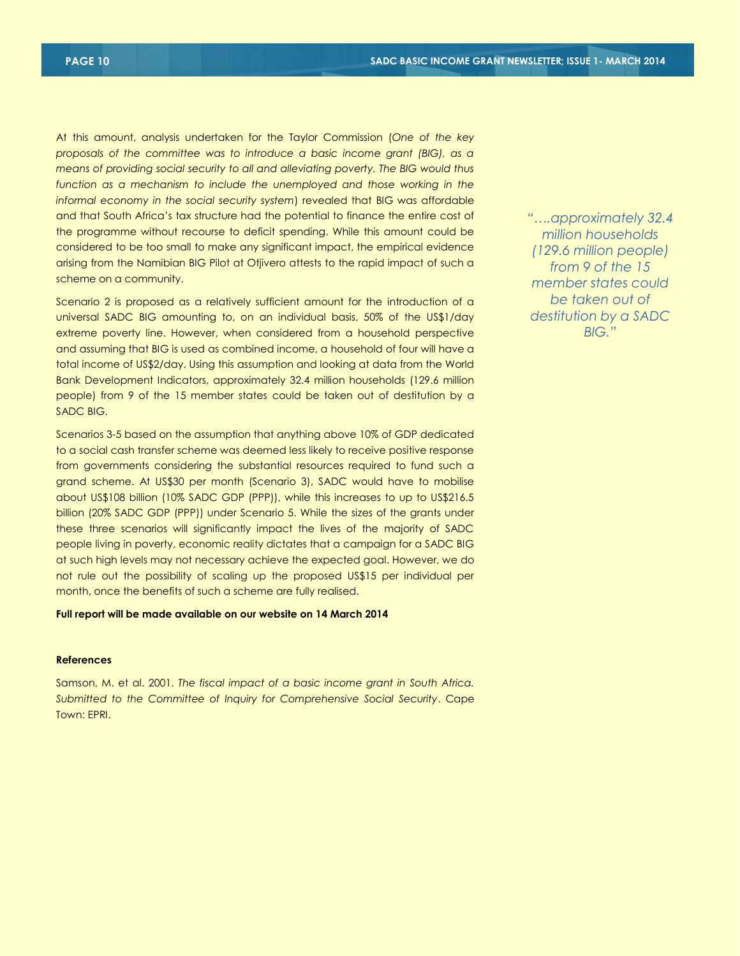At this amount, analysis undertaken for the Taylor Commission (*One of the key proposals of the committee was to introduce a basic income grant (BIG), as a means of providing social security to all and alleviating poverty. The BIG would thus function as a mechanism to include the unemployed and those working in the informal economy in the social security system*) revealed that BIG was affordable and that South Africa's tax structure had the potential to finance the entire cost of the programme without recourse to deficit spending. While this amount could be considered to be too small to make any significant impact, the empirical evidence arising from the Namibian BIG Pilot at Otjivero attests to the rapid impact of such a scheme on a community.

Scenario 2 is proposed as a relatively sufficient amount for the introduction of a universal SADC BIG amounting to, on an individual basis, 50% of the US\$1/day extreme poverty line. However, when considered from a household perspective and assuming that BIG is used as combined income, a household of four will have a total income of US\$2/day. Using this assumption and looking at data from the World Bank Development Indicators, approximately 32.4 million households (129.6 million people) from 9 of the 15 member states could be taken out of destitution by a SADC BIG.

Scenarios 3-5 based on the assumption that anything above 10% of GDP dedicated to a social cash transfer scheme was deemed less likely to receive positive response from governments considering the substantial resources required to fund such a grand scheme. At US\$30 per month (Scenario 3), SADC would have to mobilise about US\$108 billion (10% SADC GDP (PPP)), while this increases to up to US\$216.5 billion (20% SADC GDP (PPP)) under Scenario 5. While the sizes of the grants under these three scenarios will significantly impact the lives of the majority of SADC people living in poverty, economic reality dictates that a campaign for a SADC BIG at such high levels may not necessary achieve the expected goal. However, we do not rule out the possibility of scaling up the proposed US\$15 per individual per month, once the benefits of such a scheme are fully realised.

#### **Full report will be made available on our website on 14 March 2014**

#### **References**

Samson, M. et al. 2001. *The fiscal impact of a basic income grant in South Africa. Submitted to the Committee of Inquiry for Comprehensive Social Security*. Cape Town: EPRI.

*"….approximately 32.4 million households (129.6 million people) from 9 of the 15 member states could be taken out of destitution by a SADC BIG."*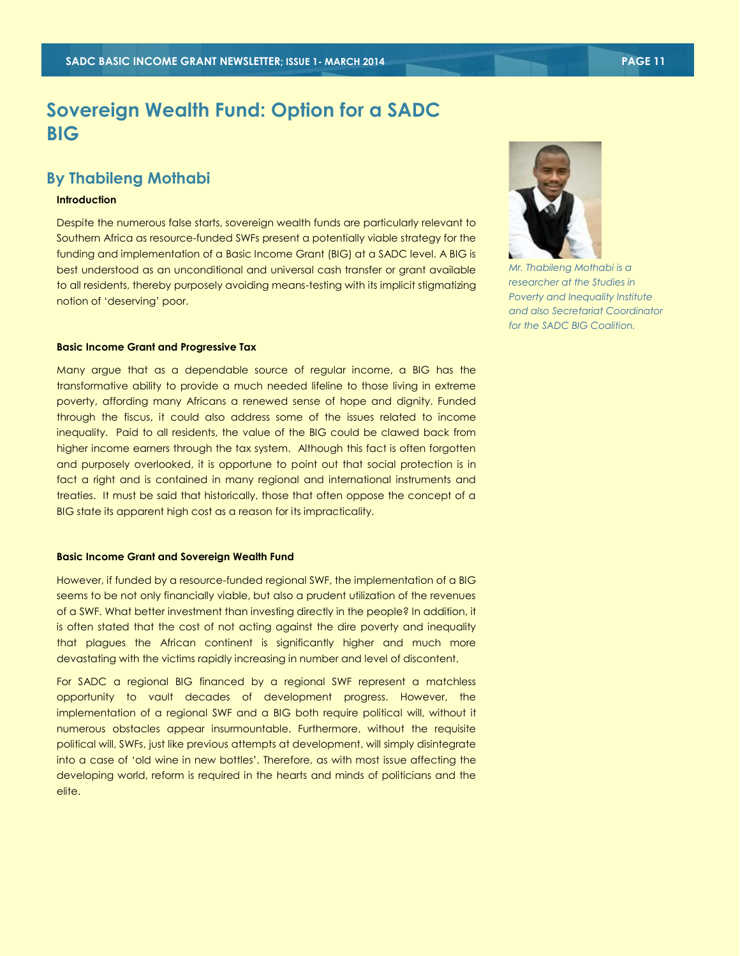### **Sovereign Wealth Fund: Option for a SADC BIG**

#### **By Thabileng Mothabi**

#### **Introduction**

Despite the numerous false starts, sovereign wealth funds are particularly relevant to Southern Africa as resource-funded SWFs present a potentially viable strategy for the funding and implementation of a Basic Income Grant (BIG) at a SADC level. A BIG is best understood as an unconditional and universal cash transfer or grant available to all residents, thereby purposely avoiding means-testing with its implicit stigmatizing notion of 'deserving' poor.

#### **Basic Income Grant and Progressive Tax**

Many argue that as a dependable source of regular income, a BIG has the transformative ability to provide a much needed lifeline to those living in extreme poverty, affording many Africans a renewed sense of hope and dignity. Funded through the fiscus, it could also address some of the issues related to income inequality. Paid to all residents, the value of the BIG could be clawed back from higher income earners through the tax system. Although this fact is often forgotten and purposely overlooked, it is opportune to point out that social protection is in fact a right and is contained in many regional and international instruments and treaties. It must be said that historically, those that often oppose the concept of a BIG state its apparent high cost as a reason for its impracticality.

#### **Basic Income Grant and Sovereign Wealth Fund**

However, if funded by a resource-funded regional SWF, the implementation of a BIG seems to be not only financially viable, but also a prudent utilization of the revenues of a SWF. What better investment than investing directly in the people? In addition, it is often stated that the cost of not acting against the dire poverty and inequality that plagues the African continent is significantly higher and much more devastating with the victims rapidly increasing in number and level of discontent.

For SADC a regional BIG financed by a regional SWF represent a matchless opportunity to vault decades of development progress. However, the implementation of a regional SWF and a BIG both require political will, without it numerous obstacles appear insurmountable. Furthermore, without the requisite political will, SWFs, just like previous attempts at development, will simply disintegrate into a case of 'old wine in new bottles'. Therefore, as with most issue affecting the developing world, reform is required in the hearts and minds of politicians and the elite.



*Mr. Thabileng Mothabi is a researcher at the Studies in Poverty and Inequality Institute and also Secretariat Coordinator for the SADC BIG Coalition.*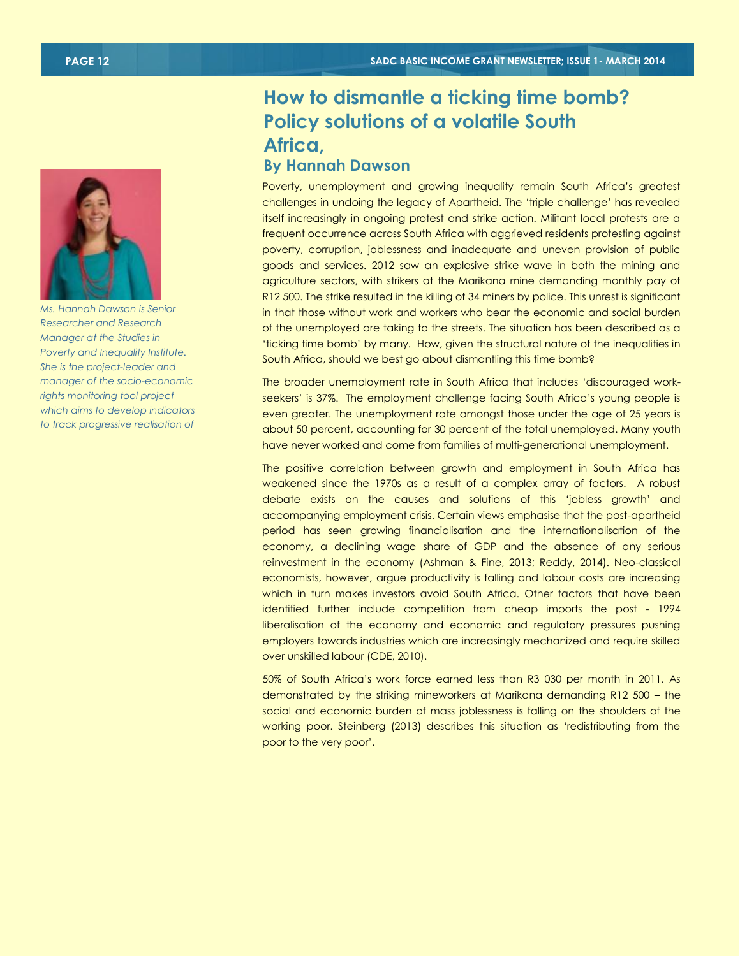

*Ms. Hannah Dawson is Senior Researcher and Research Manager at the Studies in Poverty and Inequality Institute. She is the project-leader and manager of the socio-economic rights monitoring tool project which aims to develop indicators to track progressive realisation of* 

### **How to dismantle a ticking time bomb? Policy solutions of a volatile South Africa, By Hannah Dawson**

Poverty, unemployment and growing inequality remain South Africa's greatest challenges in undoing the legacy of Apartheid. The 'triple challenge' has revealed itself increasingly in ongoing protest and strike action. Militant local protests are a frequent occurrence across South Africa with aggrieved residents protesting against poverty, corruption, joblessness and inadequate and uneven provision of public goods and services. 2012 saw an explosive strike wave in both the mining and agriculture sectors, with strikers at the Marikana mine demanding monthly pay of R12 500. The strike resulted in the killing of 34 miners by police. This unrest is significant in that those without work and workers who bear the economic and social burden of the unemployed are taking to the streets. The situation has been described as a 'ticking time bomb' by many. How, given the structural nature of the inequalities in South Africa, should we best go about dismantling this time bomb?

The broader unemployment rate in South Africa that includes 'discouraged workseekers' is 37%. The employment challenge facing South Africa's young people is even greater. The unemployment rate amongst those under the age of 25 years is about 50 percent, accounting for 30 percent of the total unemployed. Many youth have never worked and come from families of multi-generational unemployment.

The positive correlation between growth and employment in South Africa has weakened since the 1970s as a result of a complex array of factors. A robust debate exists on the causes and solutions of this 'jobless growth' and accompanying employment crisis. Certain views emphasise that the post-apartheid period has seen growing financialisation and the internationalisation of the economy, a declining wage share of GDP and the absence of any serious reinvestment in the economy (Ashman & Fine, 2013; Reddy, 2014). Neo-classical economists, however, argue productivity is falling and labour costs are increasing which in turn makes investors avoid South Africa. Other factors that have been identified further include competition from cheap imports the post - 1994 liberalisation of the economy and economic and regulatory pressures pushing employers towards industries which are increasingly mechanized and require skilled over unskilled labour (CDE, 2010).

50% of South Africa's work force earned less than R3 030 per month in 2011. As demonstrated by the striking mineworkers at Marikana demanding R12 500 – the social and economic burden of mass joblessness is falling on the shoulders of the working poor. Steinberg (2013) describes this situation as 'redistributing from the poor to the very poor'.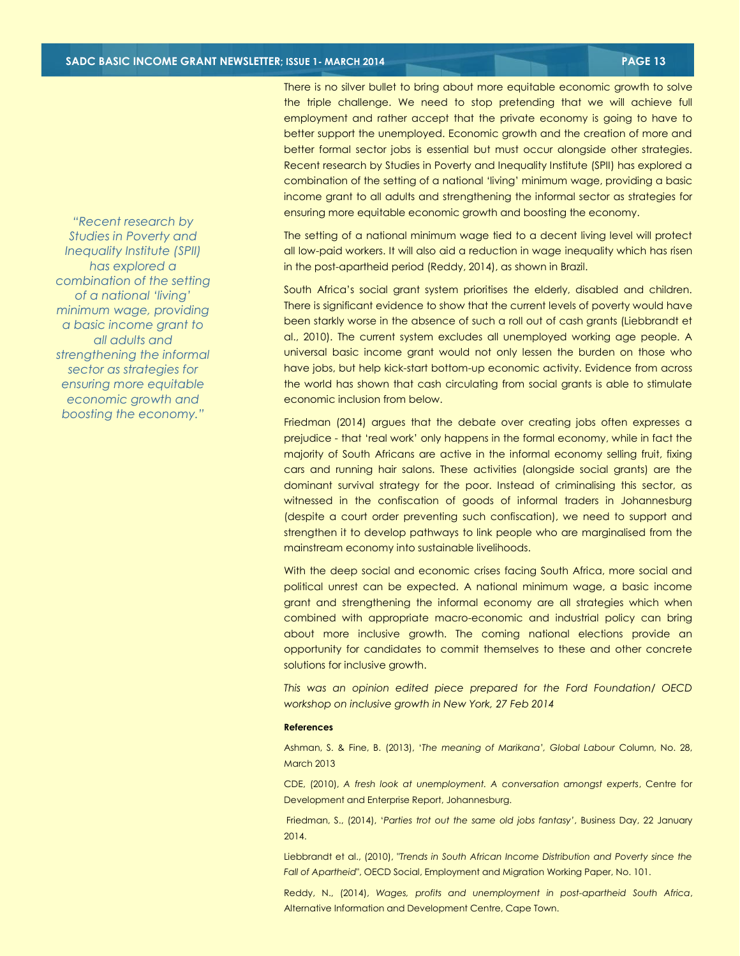There is no silver bullet to bring about more equitable economic growth to solve the triple challenge. We need to stop pretending that we will achieve full employment and rather accept that the private economy is going to have to better support the unemployed. Economic growth and the creation of more and better formal sector jobs is essential but must occur alongside other strategies. Recent research by Studies in Poverty and Inequality Institute (SPII) has explored a combination of the setting of a national 'living' minimum wage, providing a basic income grant to all adults and strengthening the informal sector as strategies for ensuring more equitable economic growth and boosting the economy.

The setting of a national minimum wage tied to a decent living level will protect all low-paid workers. It will also aid a reduction in wage inequality which has risen in the post-apartheid period (Reddy, 2014), as shown in Brazil.

South Africa's social grant system prioritises the elderly, disabled and children. There is significant evidence to show that the current levels of poverty would have been starkly worse in the absence of such a roll out of cash grants (Liebbrandt et al., 2010). The current system excludes all unemployed working age people. A universal basic income grant would not only lessen the burden on those who have jobs, but help kick-start bottom-up economic activity. Evidence from across the world has shown that cash circulating from social grants is able to stimulate economic inclusion from below.

Friedman (2014) argues that the debate over creating jobs often expresses a prejudice - that 'real work' only happens in the formal economy, while in fact the majority of South Africans are active in the informal economy selling fruit, fixing cars and running hair salons. These activities (alongside social grants) are the dominant survival strategy for the poor. Instead of criminalising this sector, as witnessed in the confiscation of goods of informal traders in Johannesburg (despite a court order preventing such confiscation), we need to support and strengthen it to develop pathways to link people who are marginalised from the mainstream economy into sustainable livelihoods.

With the deep social and economic crises facing South Africa, more social and political unrest can be expected. A national minimum wage, a basic income grant and strengthening the informal economy are all strategies which when combined with appropriate macro-economic and industrial policy can bring about more inclusive growth. The coming national elections provide an opportunity for candidates to commit themselves to these and other concrete solutions for inclusive growth.

*This was an opinion edited piece prepared for the Ford Foundation/ OECD workshop on inclusive growth in New York, 27 Feb 2014*

#### **References**

Ashman, S. & Fine, B. (2013), '*The meaning of Marikana', Global Labour* Column, No. 28, March 2013

CDE, (2010), *A fresh look at unemployment. A conversation amongst experts*, Centre for Development and Enterprise Report, Johannesburg.

Friedman, S., (2014), '*Parties trot out the same old jobs fantasy'*, Business Day, 22 January 2014.

Liebbrandt et al., (2010), "*Trends in South African Income Distribution and Poverty since the Fall of Apartheid*", OECD Social, Employment and Migration Working Paper, No. 101.

Reddy, N., (2014), *Wages, profits and unemployment in post-apartheid South Africa*, Alternative Information and Development Centre, Cape Town.

*"Recent research by Studies in Poverty and Inequality Institute (SPII) has explored a combination of the setting of a national 'living' minimum wage, providing a basic income grant to all adults and strengthening the informal sector as strategies for ensuring more equitable economic growth and boosting the economy."*